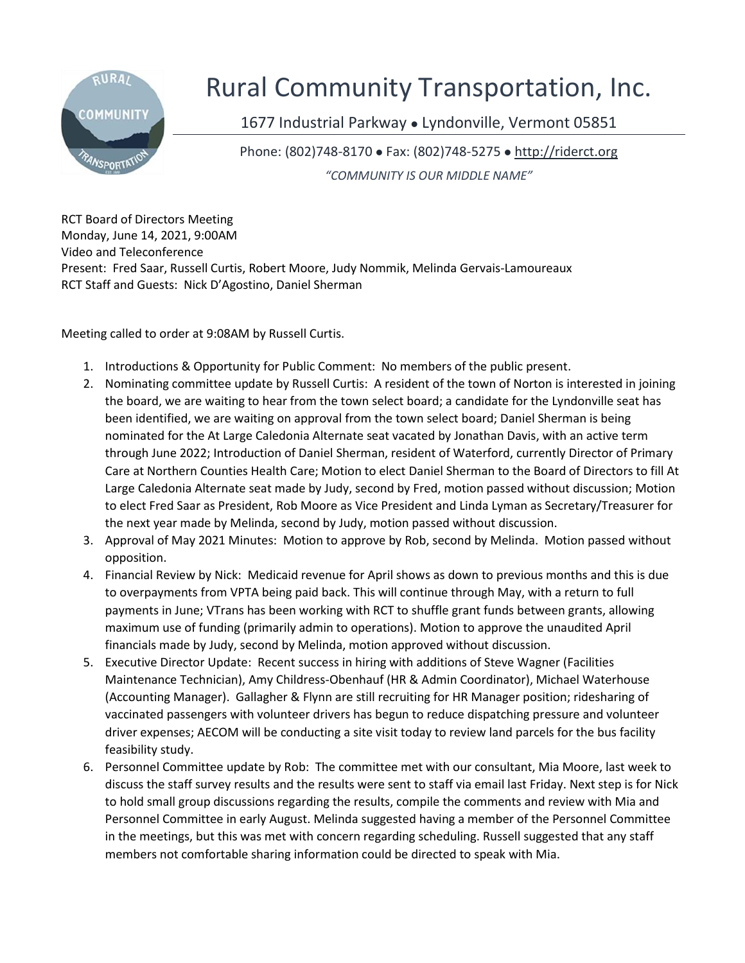

## Rural Community Transportation, Inc.

1677 Industrial Parkway • Lyndonville, Vermont 05851

Phone: (802)748-8170 ⚫ Fax: (802)748-5275 ⚫ [http://riderct.org](http://riderct.org/)

*"COMMUNITY IS OUR MIDDLE NAME"*

RCT Board of Directors Meeting Monday, June 14, 2021, 9:00AM Video and Teleconference Present: Fred Saar, Russell Curtis, Robert Moore, Judy Nommik, Melinda Gervais-Lamoureaux RCT Staff and Guests: Nick D'Agostino, Daniel Sherman

Meeting called to order at 9:08AM by Russell Curtis.

- 1. Introductions & Opportunity for Public Comment: No members of the public present.
- 2. Nominating committee update by Russell Curtis: A resident of the town of Norton is interested in joining the board, we are waiting to hear from the town select board; a candidate for the Lyndonville seat has been identified, we are waiting on approval from the town select board; Daniel Sherman is being nominated for the At Large Caledonia Alternate seat vacated by Jonathan Davis, with an active term through June 2022; Introduction of Daniel Sherman, resident of Waterford, currently Director of Primary Care at Northern Counties Health Care; Motion to elect Daniel Sherman to the Board of Directors to fill At Large Caledonia Alternate seat made by Judy, second by Fred, motion passed without discussion; Motion to elect Fred Saar as President, Rob Moore as Vice President and Linda Lyman as Secretary/Treasurer for the next year made by Melinda, second by Judy, motion passed without discussion.
- 3. Approval of May 2021 Minutes: Motion to approve by Rob, second by Melinda. Motion passed without opposition.
- 4. Financial Review by Nick: Medicaid revenue for April shows as down to previous months and this is due to overpayments from VPTA being paid back. This will continue through May, with a return to full payments in June; VTrans has been working with RCT to shuffle grant funds between grants, allowing maximum use of funding (primarily admin to operations). Motion to approve the unaudited April financials made by Judy, second by Melinda, motion approved without discussion.
- 5. Executive Director Update: Recent success in hiring with additions of Steve Wagner (Facilities Maintenance Technician), Amy Childress-Obenhauf (HR & Admin Coordinator), Michael Waterhouse (Accounting Manager). Gallagher & Flynn are still recruiting for HR Manager position; ridesharing of vaccinated passengers with volunteer drivers has begun to reduce dispatching pressure and volunteer driver expenses; AECOM will be conducting a site visit today to review land parcels for the bus facility feasibility study.
- 6. Personnel Committee update by Rob: The committee met with our consultant, Mia Moore, last week to discuss the staff survey results and the results were sent to staff via email last Friday. Next step is for Nick to hold small group discussions regarding the results, compile the comments and review with Mia and Personnel Committee in early August. Melinda suggested having a member of the Personnel Committee in the meetings, but this was met with concern regarding scheduling. Russell suggested that any staff members not comfortable sharing information could be directed to speak with Mia.